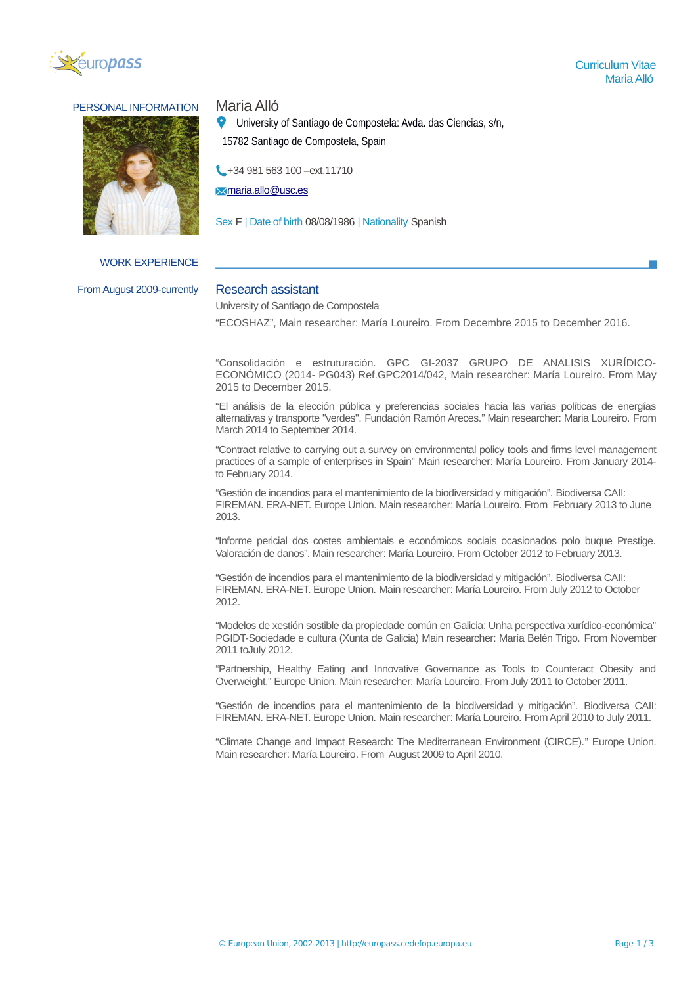

# PERSONAL INFORMATION Maria Alló



WORK EXPERIENCE

EDUCATION AND TRAINING From August 2009-currently Research assistant

University of Santiago de Compostela: Avda. das Ciencias, s/n,

15782 Santiago de Compostela, Spain

+34 981 563 100 - ext.11710

 $\blacktriangleright$ [maria.allo@usc.es](mailto:maria.allo@usc.es)

Sex F | Date of birth 08/08/1986 | Nationality Spanish

University of Santiago de Compostela

2015 PhD. "ECOSHAZ", Main researcher: María Loureiro. From Decembre 2015 to December 2016.

"Consolidación e estruturación. GPC GI-2037 GRUPO DE ANALISIS XURÍDICO-ECONÓMICO (2014- PG043) Ref.GPC2014/042, Main researcher: María Loureiro. From May 2015 to December 2015.

"El análisis de la elección pública y preferencias sociales hacia las varias políticas de energías alternativas y transporte "verdes". Fundación Ramón Areces." Main researcher: Maria Loureiro. From March 2014 to September 2014.

 $\mu$ adaces of a san "Contract relative to carrying out a survey on environmental policy tools and firms level management practices of a sample of enterprises in Spain" Main researcher: María Loureiro. From January 2014-

FIREMAN. ERA-NET. Europe Union. Main researcher: María Loureiro. From February 2013 to June "Gestión de incendios para el mantenimiento de la biodiversidad y mitigación". Biodiversa CAII: 2013.

"Informe pericial dos costes ambientais e económicos sociais ocasionados polo buque Prestige. Valoración de danos". Main researcher: María Loureiro. From October 2012 to February 2013.

"Gestión de incendios para el mantenimiento de la biodiversidad y mitigación". Biodiversa CAII: FIREMAN. ERA-NET. Europe Union. Main researcher: María Loureiro. From July 2012 to October 2012.

"Modelos de xestión sostible da propiedade común en Galicia: Unha perspectiva xurídico-económica" PGIDT-Sociedade e cultura (Xunta de Galicia) Main researcher: María Belén Trigo. From November 2011 toJuly 2012.

"Partnership, Healthy Eating and Innovative Governance as Tools to Counteract Obesity and Overweight." Europe Union. Main researcher: María Loureiro. From July 2011 to October 2011.

"Gestión de incendios para el mantenimiento de la biodiversidad y mitigación". Biodiversa CAII: FIREMAN. ERA-NET. Europe Union. Main researcher: María Loureiro. From April 2010 to July 2011.

"Climate Change and Impact Research: The Mediterranean Environment (CIRCE)." Europe Union. Main researcher: María Loureiro. From August 2009 to April 2010.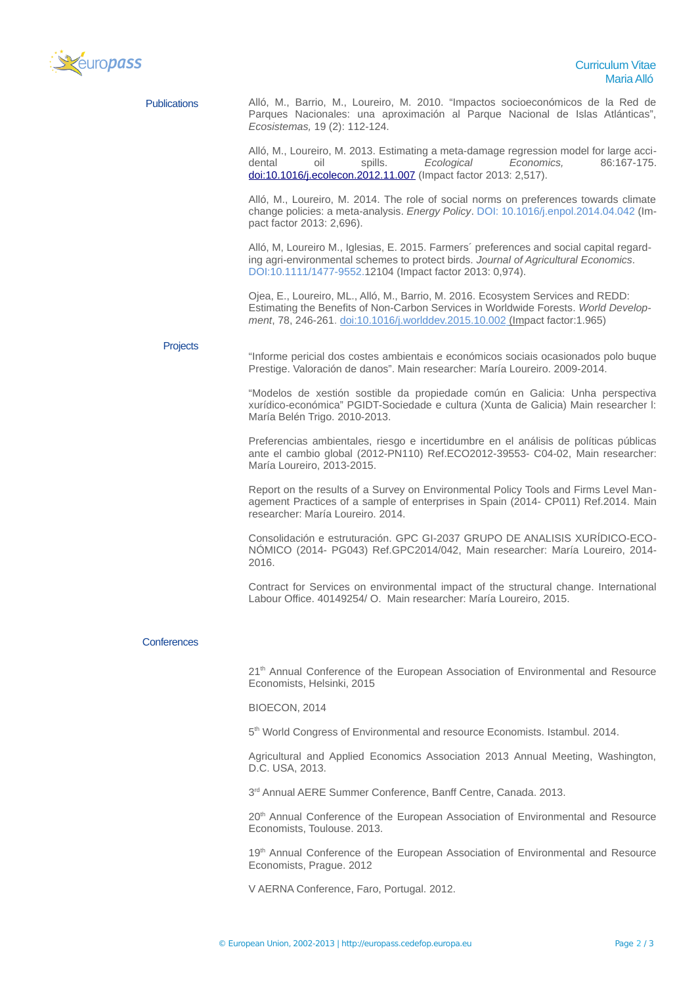

| <b>Publications</b> | Alló, M., Barrio, M., Loureiro, M. 2010. "Impactos socioeconómicos de la Red de<br>Parques Nacionales: una aproximación al Parque Nacional de Islas Atlánticas",<br>Ecosistemas, 19 (2): 112-124.                                                      |
|---------------------|--------------------------------------------------------------------------------------------------------------------------------------------------------------------------------------------------------------------------------------------------------|
|                     | Alló, M., Loureiro, M. 2013. Estimating a meta-damage regression model for large acci-<br>Ecological<br>Economics,<br>oil<br>spills.<br>86:167-175.<br>dental<br>doi:10.1016/j.ecolecon.2012.11.007 (Impact factor 2013: 2,517).                       |
|                     | Alló, M., Loureiro, M. 2014. The role of social norms on preferences towards climate<br>change policies: a meta-analysis. <i>Energy Policy</i> . DOI: 10.1016/j.enpol.2014.04.042 (Im-<br>pact factor 2013: 2,696).                                    |
|                     | Alló, M, Loureiro M., Iglesias, E. 2015. Farmers' preferences and social capital regard-<br>ing agri-environmental schemes to protect birds. Journal of Agricultural Economics.<br>DOI:10.1111/1477-9552.12104 (Impact factor 2013: 0,974).            |
|                     | Ojea, E., Loureiro, ML., Alló, M., Barrio, M. 2016. Ecosystem Services and REDD:<br>Estimating the Benefits of Non-Carbon Services in Worldwide Forests. World Develop-<br>ment, 78, 246-261. doi:10.1016/j.worlddev.2015.10.002 (Impact factor:1.965) |
| <b>Projects</b>     |                                                                                                                                                                                                                                                        |
|                     | "Informe pericial dos costes ambientais e económicos sociais ocasionados polo buque<br>Prestige. Valoración de danos". Main researcher: María Loureiro. 2009-2014.                                                                                     |
|                     | "Modelos de xestión sostible da propiedade común en Galicia: Unha perspectiva<br>xurídico-económica" PGIDT-Sociedade e cultura (Xunta de Galicia) Main researcher l:<br>María Belén Trigo. 2010-2013.                                                  |
|                     | Preferencias ambientales, riesgo e incertidumbre en el análisis de políticas públicas<br>ante el cambio global (2012-PN110) Ref.ECO2012-39553- C04-02, Main researcher:<br>María Loureiro, 2013-2015.                                                  |
|                     | Report on the results of a Survey on Environmental Policy Tools and Firms Level Man-<br>agement Practices of a sample of enterprises in Spain (2014- CP011) Ref.2014. Main<br>researcher: María Loureiro, 2014.                                        |
|                     | Consolidación e estruturación. GPC GI-2037 GRUPO DE ANALISIS XURÍDICO-ECO-<br>NÓMICO (2014- PG043) Ref.GPC2014/042, Main researcher: María Loureiro, 2014-<br>2016.                                                                                    |
|                     | Contract for Services on environmental impact of the structural change. International<br>Labour Office. 40149254/ O. Main researcher: María Loureiro, 2015.                                                                                            |
| <b>Conferences</b>  |                                                                                                                                                                                                                                                        |
|                     | 21 <sup>th</sup> Annual Conference of the European Association of Environmental and Resource<br>Economists, Helsinki, 2015                                                                                                                             |
|                     | BIOECON, 2014                                                                                                                                                                                                                                          |
|                     | 5 <sup>th</sup> World Congress of Environmental and resource Economists. Istambul. 2014.                                                                                                                                                               |
|                     |                                                                                                                                                                                                                                                        |
|                     | Agricultural and Applied Economics Association 2013 Annual Meeting, Washington,<br>D.C. USA, 2013.                                                                                                                                                     |
|                     | 3rd Annual AERE Summer Conference, Banff Centre, Canada. 2013.                                                                                                                                                                                         |

20<sup>th</sup> Annual Conference of the European Association of Environmental and Resource Economists, Toulouse. 2013.

19<sup>th</sup> Annual Conference of the European Association of Environmental and Resource Economists, Prague. 2012

V AERNA Conference, Faro, Portugal. 2012.